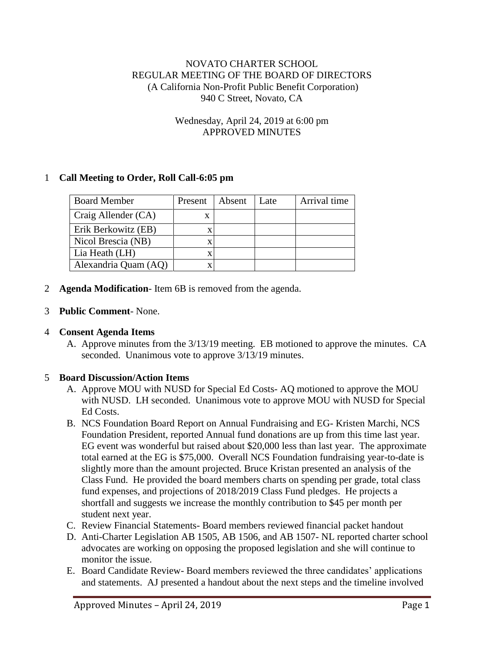### NOVATO CHARTER SCHOOL REGULAR MEETING OF THE BOARD OF DIRECTORS (A California Non-Profit Public Benefit Corporation) 940 C Street, Novato, CA

#### Wednesday, April 24, 2019 at 6:00 pm APPROVED MINUTES

## 1 **Call Meeting to Order, Roll Call-6:05 pm**

| <b>Board Member</b>  | Present | Absent | Late | Arrival time |
|----------------------|---------|--------|------|--------------|
| Craig Allender (CA)  | x       |        |      |              |
| Erik Berkowitz (EB)  | x       |        |      |              |
| Nicol Brescia (NB)   | X       |        |      |              |
| Lia Heath (LH)       | X       |        |      |              |
| Alexandria Quam (AQ) | X       |        |      |              |

2 **Agenda Modification**- Item 6B is removed from the agenda.

#### 3 **Public Comment**- None.

### 4 **Consent Agenda Items**

A. Approve minutes from the 3/13/19 meeting. EB motioned to approve the minutes. CA seconded. Unanimous vote to approve 3/13/19 minutes.

### 5 **Board Discussion/Action Items**

- A. Approve MOU with NUSD for Special Ed Costs- AQ motioned to approve the MOU with NUSD. LH seconded. Unanimous vote to approve MOU with NUSD for Special Ed Costs.
- B. NCS Foundation Board Report on Annual Fundraising and EG- Kristen Marchi, NCS Foundation President, reported Annual fund donations are up from this time last year. EG event was wonderful but raised about \$20,000 less than last year. The approximate total earned at the EG is \$75,000. Overall NCS Foundation fundraising year-to-date is slightly more than the amount projected. Bruce Kristan presented an analysis of the Class Fund. He provided the board members charts on spending per grade, total class fund expenses, and projections of 2018/2019 Class Fund pledges. He projects a shortfall and suggests we increase the monthly contribution to \$45 per month per student next year.
- C. Review Financial Statements- Board members reviewed financial packet handout
- D. Anti-Charter Legislation AB 1505, AB 1506, and AB 1507- NL reported charter school advocates are working on opposing the proposed legislation and she will continue to monitor the issue.
- E. Board Candidate Review- Board members reviewed the three candidates' applications and statements. AJ presented a handout about the next steps and the timeline involved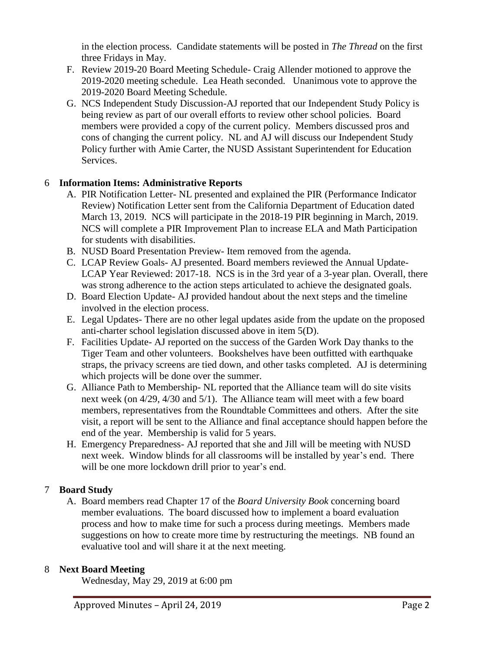in the election process. Candidate statements will be posted in *The Thread* on the first three Fridays in May.

- F. Review 2019-20 Board Meeting Schedule- Craig Allender motioned to approve the 2019-2020 meeting schedule. Lea Heath seconded. Unanimous vote to approve the 2019-2020 Board Meeting Schedule.
- G. NCS Independent Study Discussion-AJ reported that our Independent Study Policy is being review as part of our overall efforts to review other school policies. Board members were provided a copy of the current policy. Members discussed pros and cons of changing the current policy. NL and AJ will discuss our Independent Study Policy further with Amie Carter, the NUSD Assistant Superintendent for Education Services.

# 6 **Information Items: Administrative Reports**

- A. PIR Notification Letter- NL presented and explained the PIR (Performance Indicator Review) Notification Letter sent from the California Department of Education dated March 13, 2019. NCS will participate in the 2018-19 PIR beginning in March, 2019. NCS will complete a PIR Improvement Plan to increase ELA and Math Participation for students with disabilities.
- B. NUSD Board Presentation Preview- Item removed from the agenda.
- C. LCAP Review Goals- AJ presented. Board members reviewed the Annual Update-LCAP Year Reviewed: 2017-18. NCS is in the 3rd year of a 3-year plan. Overall, there was strong adherence to the action steps articulated to achieve the designated goals.
- D. Board Election Update- AJ provided handout about the next steps and the timeline involved in the election process.
- E. Legal Updates- There are no other legal updates aside from the update on the proposed anti-charter school legislation discussed above in item 5(D).
- F. Facilities Update- AJ reported on the success of the Garden Work Day thanks to the Tiger Team and other volunteers. Bookshelves have been outfitted with earthquake straps, the privacy screens are tied down, and other tasks completed. AJ is determining which projects will be done over the summer.
- G. Alliance Path to Membership- NL reported that the Alliance team will do site visits next week (on 4/29, 4/30 and 5/1). The Alliance team will meet with a few board members, representatives from the Roundtable Committees and others. After the site visit, a report will be sent to the Alliance and final acceptance should happen before the end of the year. Membership is valid for 5 years.
- H. Emergency Preparedness- AJ reported that she and Jill will be meeting with NUSD next week. Window blinds for all classrooms will be installed by year's end. There will be one more lockdown drill prior to year's end.

# 7 **Board Study**

A. Board members read Chapter 17 of the *Board University Book* concerning board member evaluations. The board discussed how to implement a board evaluation process and how to make time for such a process during meetings. Members made suggestions on how to create more time by restructuring the meetings. NB found an evaluative tool and will share it at the next meeting.

### 8 **Next Board Meeting**

Wednesday, May 29, 2019 at 6:00 pm